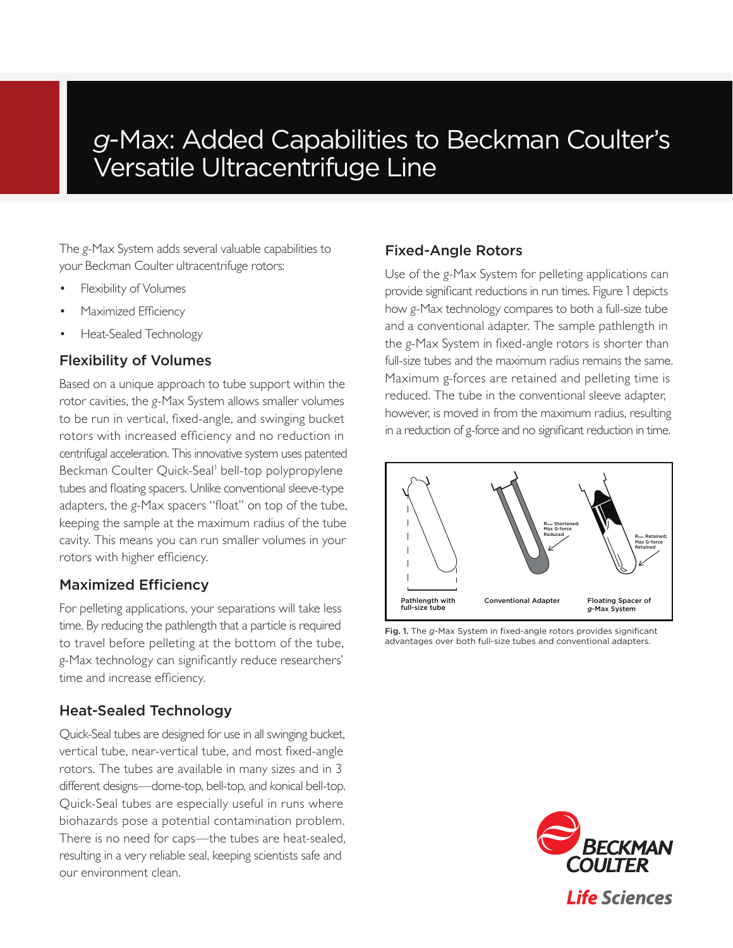# *g*-Max: Added Capabilities to Beckman Coulter's Versatile Ultracentrifuge Line

The *g*-Max System adds several valuable capabilities to your Beckman Coulter ultracentrifuge rotors:

- Flexibility of Volumes
- Maximized Efficiency
- Heat-Sealed Technology

# Flexibility of Volumes

Based on a unique approach to tube support within the rotor cavities, the *g*-Max System allows smaller volumes to be run in vertical, fixed-angle, and swinging bucket rotors with increased efficiency and no reduction in centrifugal acceleration. This innovative system uses patented Beckman Coulter Quick-Seal<sup>1</sup> bell-top polypropylene tubes and floating spacers. Unlike conventional sleeve-type adapters, the *g*-Max spacers "float" on top of the tube, keeping the sample at the maximum radius of the tube cavity. This means you can run smaller volumes in your rotors with higher efficiency.

# Maximized Efficiency

For pelleting applications, your separations will take less time. By reducing the pathlength that a particle is required to travel before pelleting at the bottom of the tube, *g*-Max technology can significantly reduce researchers' time and increase efficiency.

# Heat-Sealed Technology

Quick-Seal tubes are designed for use in all swinging bucket, vertical tube, near-vertical tube, and most fixed-angle rotors. The tubes are available in many sizes and in 3 different designs—dome-top, bell-top, and *k*onical bell-top. Quick-Seal tubes are especially useful in runs where biohazards pose a potential contamination problem. There is no need for caps—the tubes are heat-sealed, resulting in a very reliable seal, keeping scientists safe and our environment clean.

## Fixed-Angle Rotors

Use of the *g*-Max System for pelleting applications can provide significant reductions in run times. Figure 1 depicts how *g*-Max technology compares to both a full-size tube and a conventional adapter. The sample pathlength in the *g*-Max System in fixed-angle rotors is shorter than full-size tubes and the maximum radius remains the same. Maximum g-forces are retained and pelleting time is reduced. The tube in the conventional sleeve adapter, however, is moved in from the maximum radius, resulting in a reduction of g-force and no significant reduction in time.



Fig. 1. The *g*-Max System in fixed-angle rotors provides significant advantages over both full-size tubes and conventional adapters.

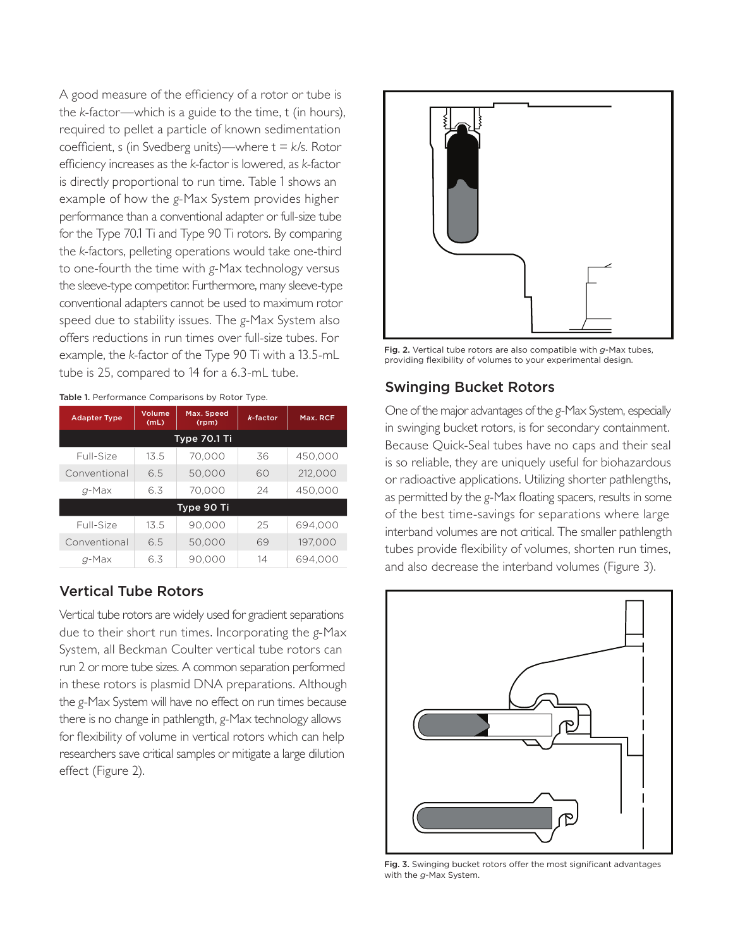A good measure of the efficiency of a rotor or tube is the *k*-factor—which is a guide to the time, t (in hours), required to pellet a particle of known sedimentation coefficient, s (in Svedberg units)—where t = *k*/s. Rotor efficiency increases as the *k*-factor is lowered, as *k*-factor is directly proportional to run time. Table 1 shows an example of how the *g*-Max System provides higher performance than a conventional adapter or full-size tube for the Type 70.1 Ti and Type 90 Ti rotors. By comparing the *k*-factors, pelleting operations would take one-third to one-fourth the time with *g*-Max technology versus the sleeve-type competitor. Furthermore, many sleeve-type conventional adapters cannot be used to maximum rotor speed due to stability issues. The *g*-Max System also offers reductions in run times over full-size tubes. For example, the *k*-factor of the Type 90 Ti with a 13.5-mL tube is 25, compared to 14 for a 6.3-mL tube.

| <b>Adapter Type</b> | Volume<br>(mL) | Max. Speed<br>(rpm) | $k$ -factor | Max. RCF |  |  |  |
|---------------------|----------------|---------------------|-------------|----------|--|--|--|
| Type 70.1 Ti        |                |                     |             |          |  |  |  |
| Full-Size           | 13.5           | 70.000              | 36          | 450,000  |  |  |  |
| Conventional        | 6.5            | 50.000              | 60          | 212,000  |  |  |  |
| $q$ -Max            | 6.3            | 70,000              | 24          | 450,000  |  |  |  |
| Type 90 Ti          |                |                     |             |          |  |  |  |
| Full-Size           | 13.5           | 90.000              | 25          | 694.000  |  |  |  |
| Conventional        | 6.5            | 50.000              | 69          | 197.000  |  |  |  |
| q-Max               | 6.3            | 90.000              | 14          | 694.000  |  |  |  |

Table 1. Performance Comparisons by Rotor Type.

### Vertical Tube Rotors

Vertical tube rotors are widely used for gradient separations due to their short run times. Incorporating the *g*-Max System, all Beckman Coulter vertical tube rotors can run 2 or more tube sizes. A common separation performed in these rotors is plasmid DNA preparations. Although the *g*-Max System will have no effect on run times because there is no change in pathlength, *g*-Max technology allows for flexibility of volume in vertical rotors which can help researchers save critical samples or mitigate a large dilution effect (Figure 2).



Fig. 2. Vertical tube rotors are also compatible with *g*-Max tubes, providing flexibility of volumes to your experimental design.

### Swinging Bucket Rotors

One of the major advantages of the *g*-Max System, especially in swinging bucket rotors, is for secondary containment. Because Quick-Seal tubes have no caps and their seal is so reliable, they are uniquely useful for biohazardous or radioactive applications. Utilizing shorter pathlengths, as permitted by the *g*-Max floating spacers, results in some of the best time-savings for separations where large interband volumes are not critical. The smaller pathlength tubes provide flexibility of volumes, shorten run times, and also decrease the interband volumes (Figure 3).



Fig. 3. Swinging bucket rotors offer the most significant advantages with the *g*-Max System.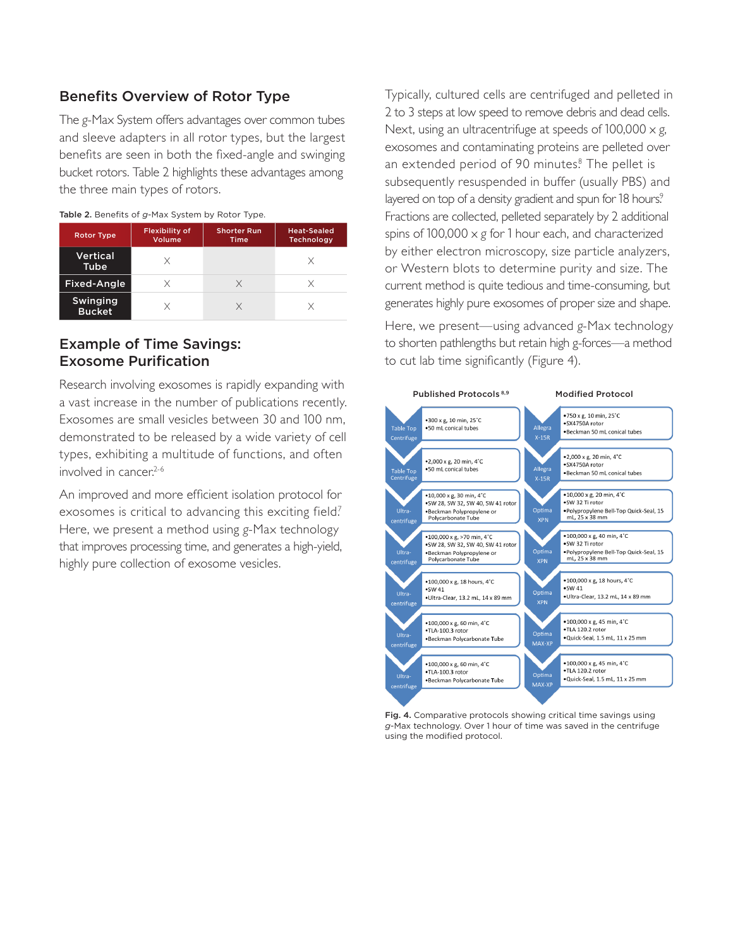# Benefits Overview of Rotor Type

The *g*-Max System offers advantages over common tubes and sleeve adapters in all rotor types, but the largest benefits are seen in both the fixed-angle and swinging bucket rotors. Table 2 highlights these advantages among the three main types of rotors.

| <b>Rotor Type</b>         | <b>Flexibility of</b><br>Volume | <b>Shorter Run</b><br><b>Time</b> | <b>Heat-Sealed</b><br><b>Technology</b> |
|---------------------------|---------------------------------|-----------------------------------|-----------------------------------------|
| <b>Vertical</b><br>Tube   | X                               |                                   |                                         |
| Fixed-Angle               | X                               | X                                 |                                         |
| Swinging<br><b>Bucket</b> | X                               |                                   |                                         |

#### Table 2. Benefits of *g*-Max System by Rotor Type.

### Example of Time Savings: Exosome Purification

Research involving exosomes is rapidly expanding with a vast increase in the number of publications recently. Exosomes are small vesicles between 30 and 100 nm, demonstrated to be released by a wide variety of cell types, exhibiting a multitude of functions, and often involved in cancer.<sup>2-6</sup>

An improved and more efficient isolation protocol for exosomes is critical to advancing this exciting field? Here, we present a method using *g*-Max technology that improves processing time, and generates a high-yield, highly pure collection of exosome vesicles.

Typically, cultured cells are centrifuged and pelleted in 2 to 3 steps at low speed to remove debris and dead cells. Next, using an ultracentrifuge at speeds of 100,000 x *g*, exosomes and contaminating proteins are pelleted over an extended period of 90 minutes.<sup>8</sup> The pellet is subsequently resuspended in buffer (usually PBS) and layered on top of a density gradient and spun for 18 hours.<sup>9</sup> Fractions are collected, pelleted separately by 2 additional spins of 100,000 x *g* for 1 hour each, and characterized by either electron microscopy, size particle analyzers, or Western blots to determine purity and size. The current method is quite tedious and time-consuming, but generates highly pure exosomes of proper size and shape.

Here, we present—using advanced *g*-Max technology to shorten pathlengths but retain high g-forces—a method to cut lab time significantly (Figure 4).



Fig. 4. Comparative protocols showing critical time savings using *g*-Max technology. Over 1 hour of time was saved in the centrifuge using the modified protocol.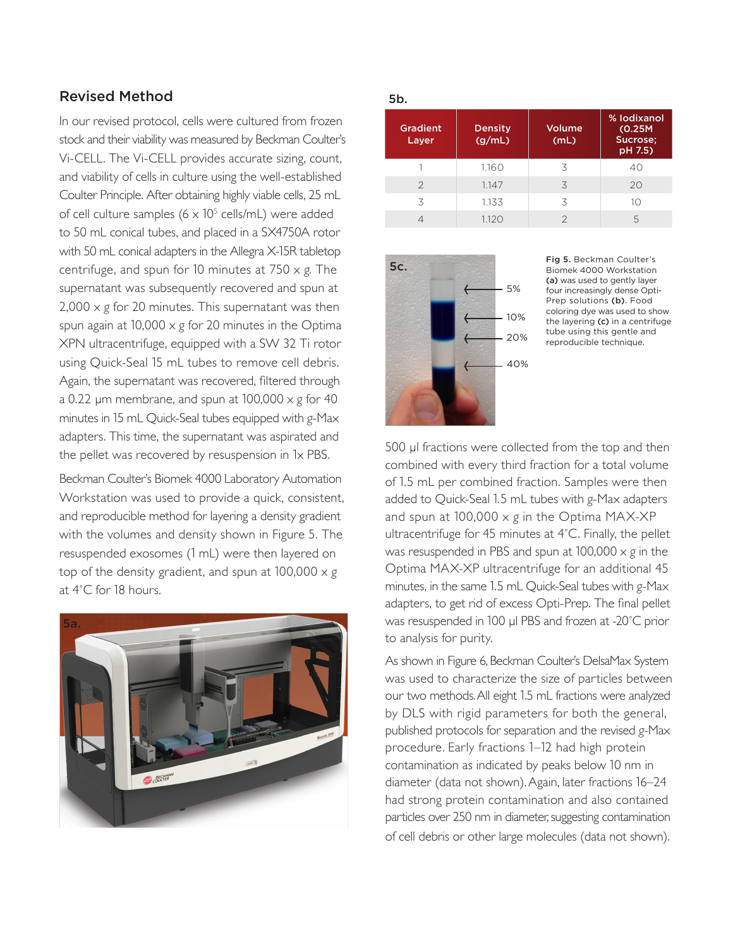# Revised Method

In our revised protocol, cells were cultured from frozen stock and their viability was measured by Beckman Coulter's Vi-CELL. The Vi-CELL provides accurate sizing, count, and viability of cells in culture using the well-established Coulter Principle. After obtaining highly viable cells, 25 mL of cell culture samples  $(6 \times 10^5 \text{ cells/mL})$  were added to 50 mL conical tubes, and placed in a SX4750A rotor with 50 mL conical adapters in the Allegra X-15R tabletop centrifuge, and spun for 10 minutes at 750 x *g*. The supernatant was subsequently recovered and spun at 2,000 x *g* for 20 minutes. This supernatant was then spun again at 10,000 x *g* for 20 minutes in the Optima XPN ultracentrifuge, equipped with a SW 32 Ti rotor using Quick-Seal 15 mL tubes to remove cell debris. Again, the supernatant was recovered, filtered through a 0.22 µm membrane, and spun at 100,000 x *g* for 40 minutes in 15 mL Quick-Seal tubes equipped with *g*-Max adapters. This time, the supernatant was aspirated and the pellet was recovered by resuspension in 1x PBS.

Beckman Coulter's Biomek 4000 Laboratory Automation Workstation was used to provide a quick, consistent, and reproducible method for layering a density gradient with the volumes and density shown in Figure 5. The resuspended exosomes (1 mL) were then layered on top of the density gradient, and spun at 100,000 x *g* at 4˚C for 18 hours.



### 5b.

| <b>Gradient</b><br>Layer | <b>Density</b><br>(g/mL) | Volume<br>(mL) | % lodixanol<br>(0.25M)<br>Sucrose;<br>pH 7.5) |
|--------------------------|--------------------------|----------------|-----------------------------------------------|
|                          | 1.160                    | 3              | 40                                            |
| $\mathcal{P}$            | 1.147                    | 3              | 20                                            |
| 3                        | 1.133                    | 3              | 10                                            |
|                          | 1.120                    |                | 5                                             |



Fig 5. Beckman Coulter's Biomek 4000 Workstation (a) was used to gently layer four increasingly dense Opti-Prep solutions (b). Food coloring dye was used to show the layering (c) in a centrifuge tube using this gentle and reproducible technique.

500 µl fractions were collected from the top and then combined with every third fraction for a total volume of 1.5 mL per combined fraction. Samples were then added to Quick-Seal 1.5 mL tubes with *g*-Max adapters and spun at 100,000 x *g* in the Optima MAX-XP ultracentrifuge for 45 minutes at 4˚C. Finally, the pellet was resuspended in PBS and spun at 100,000 x *g* in the Optima MAX-XP ultracentrifuge for an additional 45 minutes, in the same 1.5 mL Quick-Seal tubes with *g*-Max adapters, to get rid of excess Opti-Prep. The final pellet was resuspended in 100 µl PBS and frozen at -20°C prior to analysis for purity.

As shown in Figure 6, Beckman Coulter's DelsaMax System was used to characterize the size of particles between our two methods. All eight 1.5 mL fractions were analyzed by DLS with rigid parameters for both the general, published protocols for separation and the revised *g*-Max procedure. Early fractions 1–12 had high protein contamination as indicated by peaks below 10 nm in diameter (data not shown). Again, later fractions 16–24 had strong protein contamination and also contained particles over 250 nm in diameter, suggesting contamination of cell debris or other large molecules (data not shown).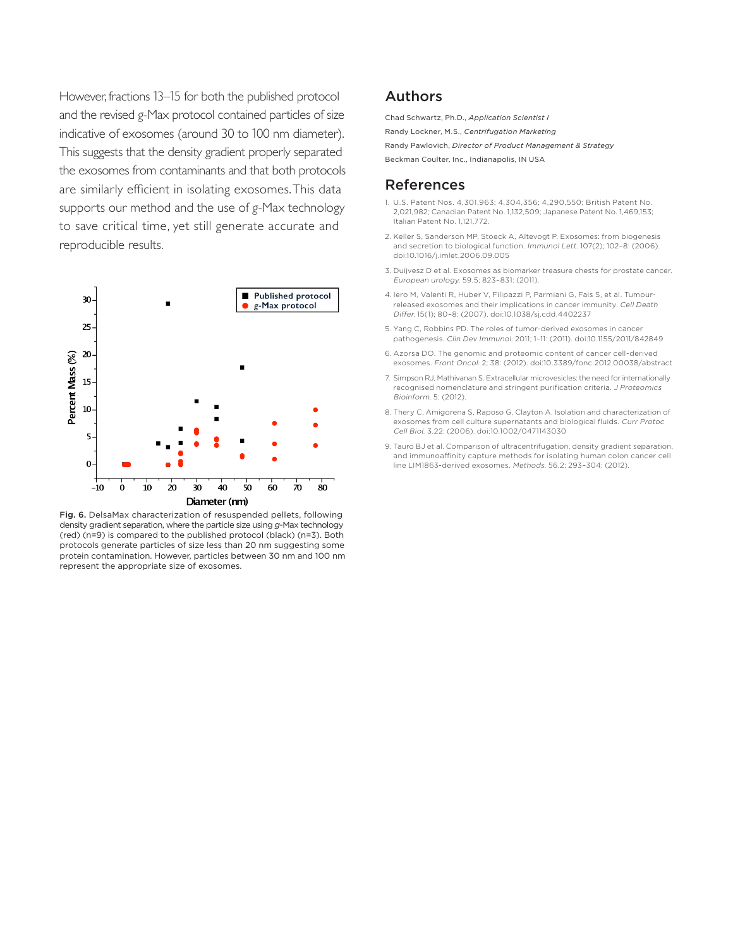However, fractions 13–15 for both the published protocol and the revised *g*-Max protocol contained particles of size indicative of exosomes (around 30 to 100 nm diameter). This suggests that the density gradient properly separated the exosomes from contaminants and that both protocols are similarly efficient in isolating exosomes.This data supports our method and the use of *g*-Max technology to save critical time, yet still generate accurate and reproducible results.



Fig. 6. DelsaMax characterization of resuspended pellets, following density gradient separation, where the particle size using *g*-Max technology (red) (n=9) is compared to the published protocol (black) (n=3). Both protocols generate particles of size less than 20 nm suggesting some protein contamination. However, particles between 30 nm and 100 nm represent the appropriate size of exosomes.

### Authors

Chad Schwartz, Ph.D., *Application Scientist I*

Randy Lockner, M.S., *Centrifugation Marketing*

Randy Pawlovich, *Director of Product Management & Strategy*

Beckman Coulter, Inc., Indianapolis, IN USA

### References

- 1. U.S. Patent Nos. 4,301,963; 4,304,356; 4,290,550; British Patent No. 2,021,982; Canadian Patent No. 1,132,509; Japanese Patent No. 1,469,153; Italian Patent No. 1,121,772.
- 2. Keller S, Sanderson MP, Stoeck A, Altevogt P. Exosomes: from biogenesis and secretion to biological function. Immunol Lett. 107(2); 102–8: (2006). doi:10.1016/j.imlet.2006.09.005
- 3. Duijvesz D et al. Exosomes as biomarker treasure chests for prostate cancer. European urology. 59.5; 823–831: (2011).
- 4. Iero M, Valenti R, Huber V, Filipazzi P, Parmiani G, Fais S, et al. Tumourreleased exosomes and their implications in cancer immunity. Cell Death Differ. 15(1); 80–8: (2007). doi:10.1038/sj.cdd.4402237
- 5. Yang C, Robbins PD. The roles of tumor-derived exosomes in cancer pathogenesis. Clin Dev Immunol. 2011; 1–11: (2011). doi:10.1155/2011/842849
- 6. Azorsa DO. The genomic and proteomic content of cancer cell-derived exosomes. Front Oncol. 2; 38: (2012). doi:10.3389/fonc.2012.00038/abstract
- 7. Simpson RJ, Mathivanan S. Extracellular microvesicles: the need for internationally recognised nomenclature and stringent purification criteria. J Proteomics Bioinform. 5: (2012).
- 8. Thery C, Amigorena S, Raposo G, Clayton A. Isolation and characterization of exosomes from cell culture supernatants and biological fluids. Curr Protoc Cell Biol. 3.22: (2006). doi:10.1002/0471143030
- 9. Tauro BJ et al. Comparison of ultracentrifugation, density gradient separation, and immunoaffinity capture methods for isolating human colon cancer cell line LIM1863-derived exosomes. Methods. 56.2; 293–304: (2012).